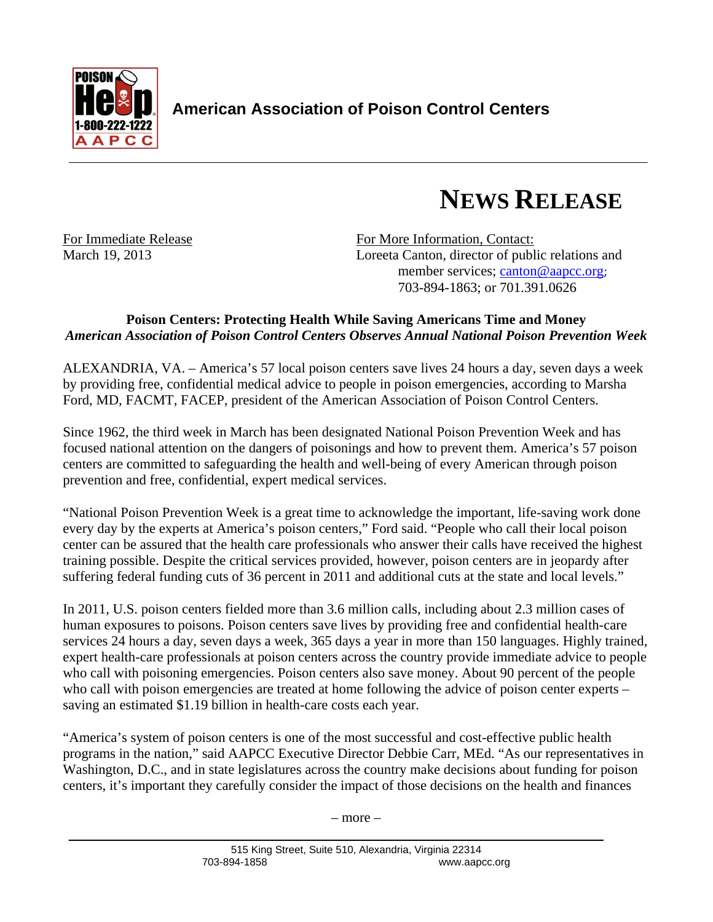

## **NEWS RELEASE**

For Immediate Release For More Information, Contact: March 19, 2013 Loreeta Canton, director of public relations and member services; canton@aapcc.org; 703-894-1863; or 701.391.0626

## **Poison Centers: Protecting Health While Saving Americans Time and Money**  *American Association of Poison Control Centers Observes Annual National Poison Prevention Week*

ALEXANDRIA, VA. – America's 57 local poison centers save lives 24 hours a day, seven days a week by providing free, confidential medical advice to people in poison emergencies, according to Marsha Ford, MD, FACMT, FACEP, president of the American Association of Poison Control Centers.

Since 1962, the third week in March has been designated National Poison Prevention Week and has focused national attention on the dangers of poisonings and how to prevent them. America's 57 poison centers are committed to safeguarding the health and well-being of every American through poison prevention and free, confidential, expert medical services.

"National Poison Prevention Week is a great time to acknowledge the important, life-saving work done every day by the experts at America's poison centers," Ford said. "People who call their local poison center can be assured that the health care professionals who answer their calls have received the highest training possible. Despite the critical services provided, however, poison centers are in jeopardy after suffering federal funding cuts of 36 percent in 2011 and additional cuts at the state and local levels."

In 2011, U.S. poison centers fielded more than 3.6 million calls, including about 2.3 million cases of human exposures to poisons. Poison centers save lives by providing free and confidential health-care services 24 hours a day, seven days a week, 365 days a year in more than 150 languages. Highly trained, expert health-care professionals at poison centers across the country provide immediate advice to people who call with poisoning emergencies. Poison centers also save money. About 90 percent of the people who call with poison emergencies are treated at home following the advice of poison center experts – saving an estimated \$1.19 billion in health-care costs each year.

"America's system of poison centers is one of the most successful and cost-effective public health programs in the nation," said AAPCC Executive Director Debbie Carr, MEd. "As our representatives in Washington, D.C., and in state legislatures across the country make decisions about funding for poison centers, it's important they carefully consider the impact of those decisions on the health and finances

– more –